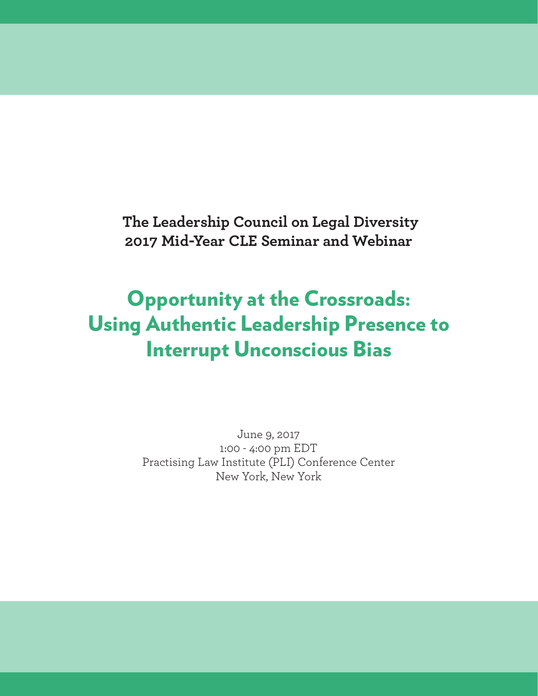**The Leadership Council on Legal Diversity 2017 Mid-Year CLE Seminar and Webinar**

# Opportunity at the Crossroads: Using Authentic Leadership Presence to Interrupt Unconscious Bias

June 9, 2017 1:00 - 4:00 pm EDT Practising Law Institute (PLI) Conference Center New York, New York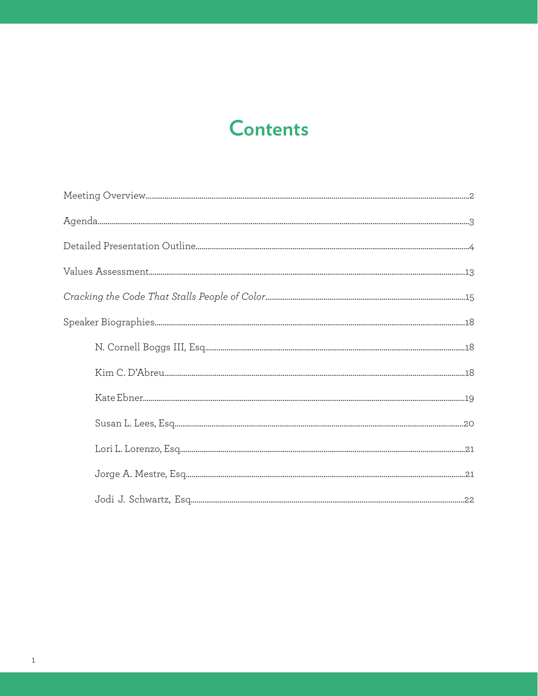## **Contents**

| $\hbox{N. Cornell Boggs III, Esq.} \label{eq:1}$ |  |
|--------------------------------------------------|--|
|                                                  |  |
|                                                  |  |
|                                                  |  |
|                                                  |  |
|                                                  |  |
|                                                  |  |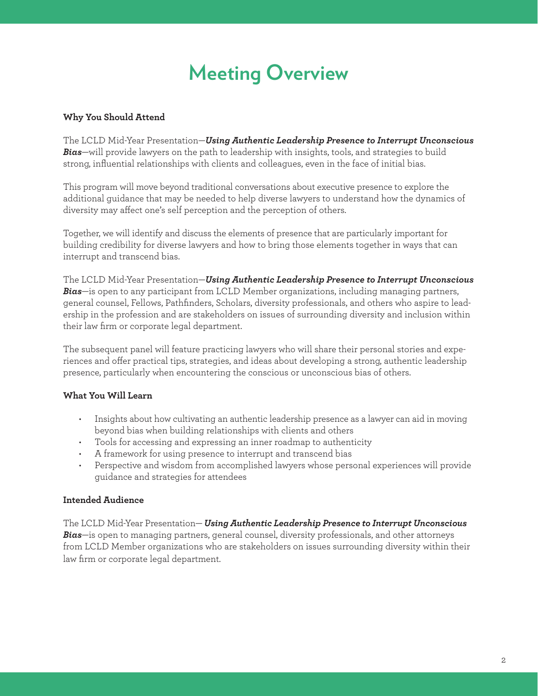# **Meeting Overview**

#### **Why You Should Attend**

The LCLD Mid-Year Presentation—*Using Authentic Leadership Presence to Interrupt Unconscious Bias*—will provide lawyers on the path to leadership with insights, tools, and strategies to build strong, influential relationships with clients and colleagues, even in the face of initial bias.

This program will move beyond traditional conversations about executive presence to explore the additional guidance that may be needed to help diverse lawyers to understand how the dynamics of diversity may affect one's self perception and the perception of others.

Together, we will identify and discuss the elements of presence that are particularly important for building credibility for diverse lawyers and how to bring those elements together in ways that can interrupt and transcend bias.

The LCLD Mid-Year Presentation—*Using Authentic Leadership Presence to Interrupt Unconscious Bias*—is open to any participant from LCLD Member organizations, including managing partners, general counsel, Fellows, Pathfinders, Scholars, diversity professionals, and others who aspire to leadership in the profession and are stakeholders on issues of surrounding diversity and inclusion within their law firm or corporate legal department.

The subsequent panel will feature practicing lawyers who will share their personal stories and experiences and offer practical tips, strategies, and ideas about developing a strong, authentic leadership presence, particularly when encountering the conscious or unconscious bias of others.

#### **What You Will Learn**

- Insights about how cultivating an authentic leadership presence as a lawyer can aid in moving beyond bias when building relationships with clients and others
- Tools for accessing and expressing an inner roadmap to authenticity
- A framework for using presence to interrupt and transcend bias
- Perspective and wisdom from accomplished lawyers whose personal experiences will provide guidance and strategies for attendees

#### **Intended Audience**

The LCLD Mid-Year Presentation— *Using Authentic Leadership Presence to Interrupt Unconscious Bias*—is open to managing partners, general counsel, diversity professionals, and other attorneys from LCLD Member organizations who are stakeholders on issues surrounding diversity within their law firm or corporate legal department.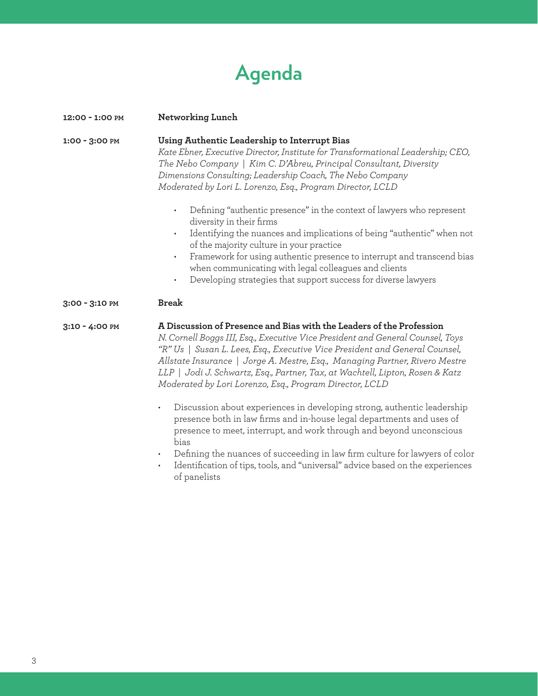# **Agenda**

| 12:00 - 1:00 PM | Networking Lunch                                                                                                                                                                                                                                                                                                                                                                                                                                                                |  |
|-----------------|---------------------------------------------------------------------------------------------------------------------------------------------------------------------------------------------------------------------------------------------------------------------------------------------------------------------------------------------------------------------------------------------------------------------------------------------------------------------------------|--|
| 1:00 - 3:00 PM  | Using Authentic Leadership to Interrupt Bias<br>Kate Ebner, Executive Director, Institute for Transformational Leadership; CEO,<br>The Nebo Company   Kim C. D'Abreu, Principal Consultant, Diversity<br>Dimensions Consulting; Leadership Coach, The Nebo Company<br>Moderated by Lori L. Lorenzo, Esq., Program Director, LCLD                                                                                                                                                |  |
|                 | Defining "authentic presence" in the context of lawyers who represent<br>$\bullet$<br>diversity in their firms<br>Identifying the nuances and implications of being "authentic" when not<br>$\bullet$<br>of the majority culture in your practice<br>Framework for using authentic presence to interrupt and transcend bias<br>$\bullet$<br>when communicating with legal colleagues and clients<br>Developing strategies that support success for diverse lawyers<br>$\bullet$ |  |
| 3:00 - 3:10 PM  | <b>Break</b>                                                                                                                                                                                                                                                                                                                                                                                                                                                                    |  |
| 3:10 - 4:00 PM  | A Discussion of Presence and Bias with the Leaders of the Profession<br>N. Cornell Boggs III, Esq., Executive Vice President and General Counsel, Toys<br>"R" Us   Susan L. Lees, Esq., Executive Vice President and General Counsel,<br>Allstate Insurance   Jorge A. Mestre, Esq., Managing Partner, Rivero Mestre<br>LLP   Jodi J. Schwartz, Esq., Partner, Tax, at Wachtell, Lipton, Rosen & Katz<br>Moderated by Lori Lorenzo, Esq., Program Director, LCLD                |  |
|                 | Discussion about experiences in developing strong, authentic leadership<br>$\bullet$<br>presence both in law firms and in-house legal departments and uses of<br>presence to meet, interrupt, and work through and beyond unconscious<br>bias<br>Defining the nuances of succeeding in law firm culture for lawyers of color                                                                                                                                                    |  |

• Identification of tips, tools, and "universal" advice based on the experiences of panelists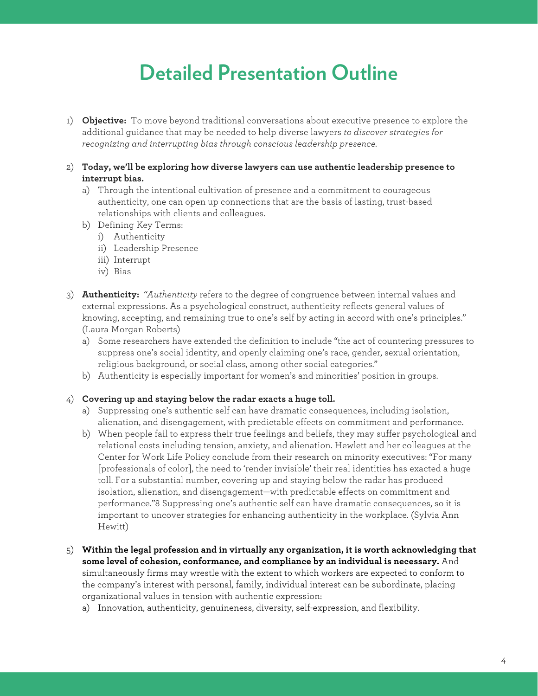## **Detailed Presentation Outline**

- 1) **Objective:** To move beyond traditional conversations about executive presence to explore the additional guidance that may be needed to help diverse lawyers *to discover strategies for recognizing and interrupting bias through conscious leadership presence.*
- 2) **Today, we'll be exploring how diverse lawyers can use authentic leadership presence to interrupt bias.**
	- a) Through the intentional cultivation of presence and a commitment to courageous authenticity, one can open up connections that are the basis of lasting, trust-based relationships with clients and colleagues.
	- b) Defining Key Terms:
		- i) Authenticity
		- ii) Leadership Presence
		- iii) Interrupt
		- iv) Bias
- 3) **Authenticity:** *"Authenticity* refers to the degree of congruence between internal values and external expressions. As a psychological construct, authenticity reflects general values of knowing, accepting, and remaining true to one's self by acting in accord with one's principles." (Laura Morgan Roberts)
	- a) Some researchers have extended the definition to include "the act of countering pressures to suppress one's social identity, and openly claiming one's race, gender, sexual orientation, religious background, or social class, among other social categories."
	- b) Authenticity is especially important for women's and minorities' position in groups.

#### 4) **Covering up and staying below the radar exacts a huge toll.**

- a) Suppressing one's authentic self can have dramatic consequences, including isolation, alienation, and disengagement, with predictable effects on commitment and performance.
- b) When people fail to express their true feelings and beliefs, they may suffer psychological and relational costs including tension, anxiety, and alienation. Hewlett and her colleagues at the Center for Work Life Policy conclude from their research on minority executives: "For many [professionals of color], the need to 'render invisible' their real identities has exacted a huge toll. For a substantial number, covering up and staying below the radar has produced isolation, alienation, and disengagement—with predictable effects on commitment and performance."8 Suppressing one's authentic self can have dramatic consequences, so it is important to uncover strategies for enhancing authenticity in the workplace. (Sylvia Ann Hewitt)
- 5) **Within the legal profession and in virtually any organization, it is worth acknowledging that some level of cohesion, conformance, and compliance by an individual is necessary.** And simultaneously firms may wrestle with the extent to which workers are expected to conform to the company's interest with personal, family, individual interest can be subordinate, placing organizational values in tension with authentic expression:
	- a) Innovation, authenticity, genuineness, diversity, self-expression, and flexibility.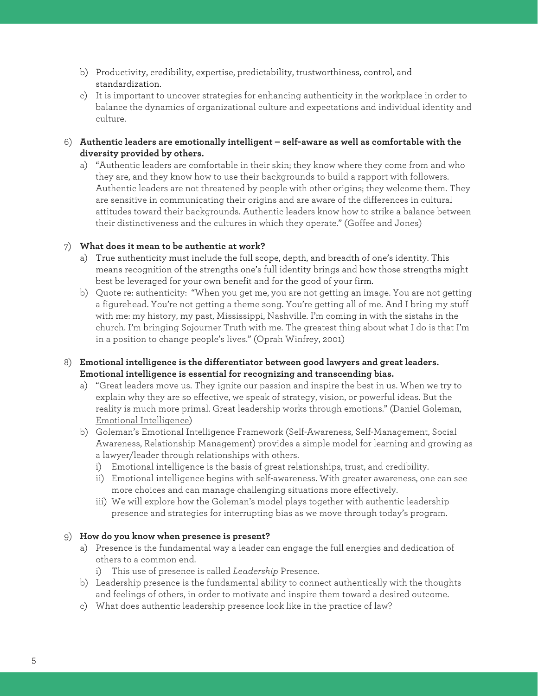- b) Productivity, credibility, expertise, predictability, trustworthiness, control, and standardization.
- c) It is important to uncover strategies for enhancing authenticity in the workplace in order to balance the dynamics of organizational culture and expectations and individual identity and culture.
- 6) **Authentic leaders are emotionally intelligent – self-aware as well as comfortable with the diversity provided by others.**
	- a) "Authentic leaders are comfortable in their skin; they know where they come from and who they are, and they know how to use their backgrounds to build a rapport with followers. Authentic leaders are not threatened by people with other origins; they welcome them. They are sensitive in communicating their origins and are aware of the differences in cultural attitudes toward their backgrounds. Authentic leaders know how to strike a balance between their distinctiveness and the cultures in which they operate." (Goffee and Jones)

#### 7) **What does it mean to be authentic at work?**

- a) True authenticity must include the full scope, depth, and breadth of one's identity. This means recognition of the strengths one's full identity brings and how those strengths might best be leveraged for your own benefit and for the good of your firm.
- b) Quote re: authenticity: "When you get me, you are not getting an image. You are not getting a figurehead. You're not getting a theme song. You're getting all of me. And I bring my stuff with me: my history, my past, Mississippi, Nashville. I'm coming in with the sistahs in the church. I'm bringing Sojourner Truth with me. The greatest thing about what I do is that I'm in a position to change people's lives." (Oprah Winfrey, 2001)

#### 8) **Emotional intelligence is the differentiator between good lawyers and great leaders. Emotional intelligence is essential for recognizing and transcending bias.**

- a) "Great leaders move us. They ignite our passion and inspire the best in us. When we try to explain why they are so effective, we speak of strategy, vision, or powerful ideas. But the reality is much more primal. Great leadership works through emotions." (Daniel Goleman, Emotional Intelligence)
- b) Goleman's Emotional Intelligence Framework (Self-Awareness, Self-Management, Social Awareness, Relationship Management) provides a simple model for learning and growing as a lawyer/leader through relationships with others.
	- i) Emotional intelligence is the basis of great relationships, trust, and credibility.
	- ii) Emotional intelligence begins with self-awareness. With greater awareness, one can see more choices and can manage challenging situations more effectively.
	- iii) We will explore how the Goleman's model plays together with authentic leadership presence and strategies for interrupting bias as we move through today's program.

#### 9) **How do you know when presence is present?**

- a) Presence is the fundamental way a leader can engage the full energies and dedication of others to a common end.
	- i) This use of presence is called *Leadership* Presence.
- b) Leadership presence is the fundamental ability to connect authentically with the thoughts and feelings of others, in order to motivate and inspire them toward a desired outcome.
- c) What does authentic leadership presence look like in the practice of law?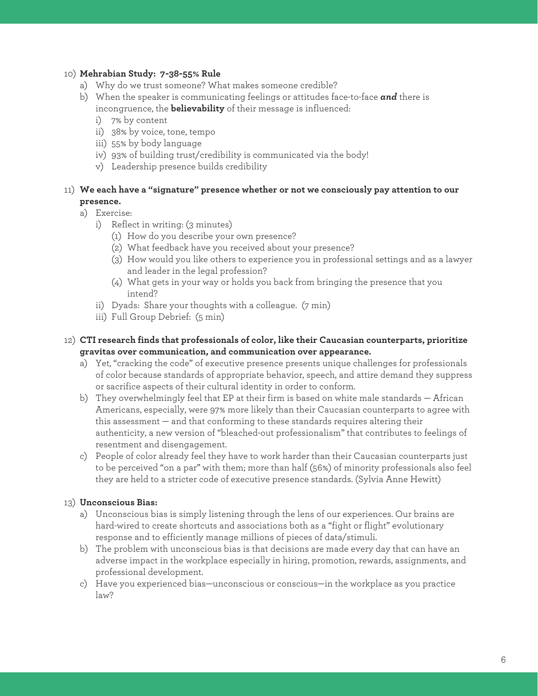#### 10) **Mehrabian Study: 7-38-55% Rule**

- a) Why do we trust someone? What makes someone credible?
- b) When the speaker is communicating feelings or attitudes face-to-face *and* there is incongruence, the **believability** of their message is influenced:
	- i) 7% by content
	- ii) 38% by voice, tone, tempo
	- iii) 55% by body language
	- iv) 93% of building trust/credibility is communicated via the body!
	- v) Leadership presence builds credibility

#### 11) **We each have a "signature" presence whether or not we consciously pay attention to our presence.**

a) Exercise:

- i) Reflect in writing: (3 minutes)
	- (1) How do you describe your own presence?
	- (2) What feedback have you received about your presence?
	- (3) How would you like others to experience you in professional settings and as a lawyer and leader in the legal profession?
	- (4) What gets in your way or holds you back from bringing the presence that you intend?
- ii) Dyads: Share your thoughts with a colleague. (7 min)
- iii) Full Group Debrief: (5 min)

#### 12) **CTI research finds that professionals of color, like their Caucasian counterparts, prioritize gravitas over communication, and communication over appearance.**

- a) Yet, "cracking the code" of executive presence presents unique challenges for professionals of color because standards of appropriate behavior, speech, and attire demand they suppress or sacrifice aspects of their cultural identity in order to conform.
- b) They overwhelmingly feel that EP at their firm is based on white male standards African Americans, especially, were 97% more likely than their Caucasian counterparts to agree with this assessment — and that conforming to these standards requires altering their authenticity, a new version of "bleached-out professionalism" that contributes to feelings of resentment and disengagement.
- c) People of color already feel they have to work harder than their Caucasian counterparts just to be perceived "on a par" with them; more than half (56%) of minority professionals also feel they are held to a stricter code of executive presence standards. (Sylvia Anne Hewitt)

#### 13) **Unconscious Bias:**

- a) Unconscious bias is simply listening through the lens of our experiences. Our brains are hard-wired to create shortcuts and associations both as a "fight or flight" evolutionary response and to efficiently manage millions of pieces of data/stimuli.
- b) The problem with unconscious bias is that decisions are made every day that can have an adverse impact in the workplace especially in hiring, promotion, rewards, assignments, and professional development.
- c) Have you experienced bias—unconscious or conscious—in the workplace as you practice law?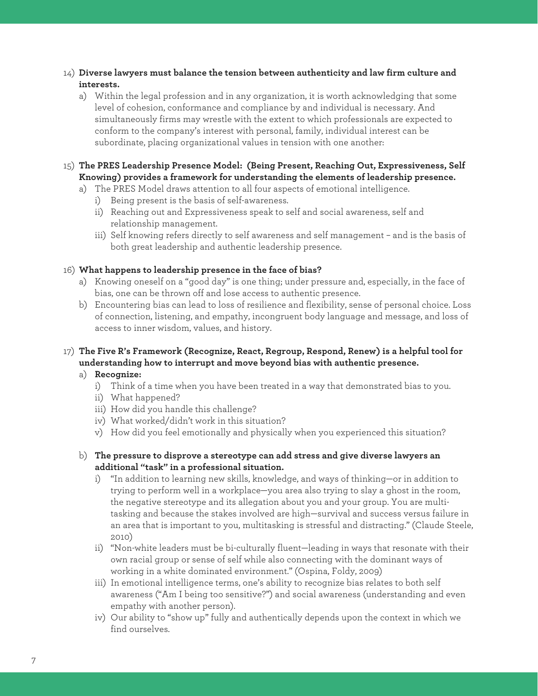- 14) **Diverse lawyers must balance the tension between authenticity and law firm culture and interests.**
	- a) Within the legal profession and in any organization, it is worth acknowledging that some level of cohesion, conformance and compliance by and individual is necessary. And simultaneously firms may wrestle with the extent to which professionals are expected to conform to the company's interest with personal, family, individual interest can be subordinate, placing organizational values in tension with one another:

#### 15) **The PRES Leadership Presence Model: (Being Present, Reaching Out, Expressiveness, Self Knowing) provides a framework for understanding the elements of leadership presence.**

- a) The PRES Model draws attention to all four aspects of emotional intelligence.
	- i) Being present is the basis of self-awareness.
	- ii) Reaching out and Expressiveness speak to self and social awareness, self and relationship management.
	- iii) Self knowing refers directly to self awareness and self management and is the basis of both great leadership and authentic leadership presence.

#### 16) **What happens to leadership presence in the face of bias?**

- a) Knowing oneself on a "good day" is one thing; under pressure and, especially, in the face of bias, one can be thrown off and lose access to authentic presence.
- b) Encountering bias can lead to loss of resilience and flexibility, sense of personal choice. Loss of connection, listening, and empathy, incongruent body language and message, and loss of access to inner wisdom, values, and history.

#### 17) **The Five R's Framework (Recognize, React, Regroup, Respond, Renew) is a helpful tool for understanding how to interrupt and move beyond bias with authentic presence.**

#### a) **Recognize:**

- i) Think of a time when you have been treated in a way that demonstrated bias to you.
- ii) What happened?
- iii) How did you handle this challenge?
- iv) What worked/didn't work in this situation?
- v) How did you feel emotionally and physically when you experienced this situation?
- b) **The pressure to disprove a stereotype can add stress and give diverse lawyers an additional "task" in a professional situation.**
	- i) "In addition to learning new skills, knowledge, and ways of thinking—or in addition to trying to perform well in a workplace—you area also trying to slay a ghost in the room, the negative stereotype and its allegation about you and your group. You are multitasking and because the stakes involved are high—survival and success versus failure in an area that is important to you, multitasking is stressful and distracting." (Claude Steele, 2010)
	- ii) "Non-white leaders must be bi-culturally fluent—leading in ways that resonate with their own racial group or sense of self while also connecting with the dominant ways of working in a white dominated environment." (Ospina, Foldy, 2009)
	- iii) In emotional intelligence terms, one's ability to recognize bias relates to both self awareness ("Am I being too sensitive?") and social awareness (understanding and even empathy with another person).
	- iv) Our ability to "show up" fully and authentically depends upon the context in which we find ourselves.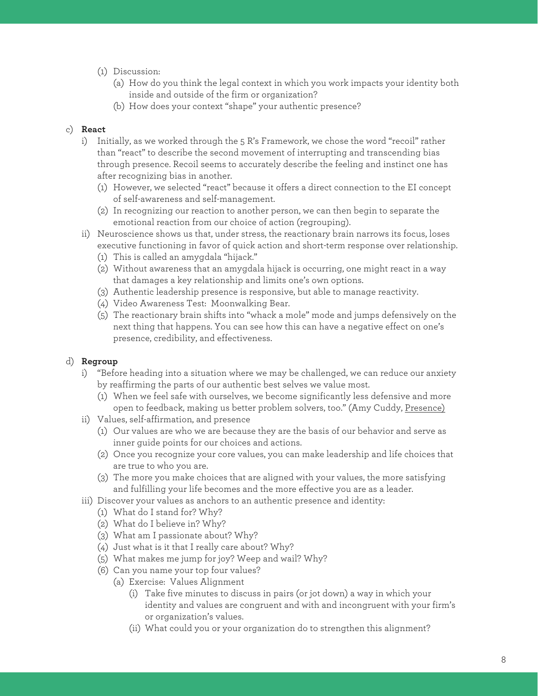- (1) Discussion:
	- (a) How do you think the legal context in which you work impacts your identity both inside and outside of the firm or organization?
	- (b) How does your context "shape" your authentic presence?

#### c) **React**

- i) Initially, as we worked through the 5 R's Framework, we chose the word "recoil" rather than "react" to describe the second movement of interrupting and transcending bias through presence. Recoil seems to accurately describe the feeling and instinct one has after recognizing bias in another.
	- (1) However, we selected "react" because it offers a direct connection to the EI concept of self-awareness and self-management.
	- (2) In recognizing our reaction to another person, we can then begin to separate the emotional reaction from our choice of action (regrouping).
- ii) Neuroscience shows us that, under stress, the reactionary brain narrows its focus, loses executive functioning in favor of quick action and short-term response over relationship.
	- (1) This is called an amygdala "hijack."
	- (2) Without awareness that an amygdala hijack is occurring, one might react in a way that damages a key relationship and limits one's own options.
	- (3) Authentic leadership presence is responsive, but able to manage reactivity.
	- (4) Video Awareness Test: Moonwalking Bear.
	- (5) The reactionary brain shifts into "whack a mole" mode and jumps defensively on the next thing that happens. You can see how this can have a negative effect on one's presence, credibility, and effectiveness.

#### d) **Regroup**

- i) "Before heading into a situation where we may be challenged, we can reduce our anxiety by reaffirming the parts of our authentic best selves we value most.
	- (1) When we feel safe with ourselves, we become significantly less defensive and more open to feedback, making us better problem solvers, too." (Amy Cuddy, Presence)
- ii) Values, self-affirmation, and presence
	- (1) Our values are who we are because they are the basis of our behavior and serve as inner guide points for our choices and actions.
	- (2) Once you recognize your core values, you can make leadership and life choices that are true to who you are.
	- (3) The more you make choices that are aligned with your values, the more satisfying and fulfilling your life becomes and the more effective you are as a leader.
- iii) Discover your values as anchors to an authentic presence and identity:
	- (1) What do I stand for? Why?
	- (2) What do I believe in? Why?
	- (3) What am I passionate about? Why?
	- (4) Just what is it that I really care about? Why?
	- (5) What makes me jump for joy? Weep and wail? Why?
	- (6) Can you name your top four values?
		- (a) Exercise: Values Alignment
			- (i) Take five minutes to discuss in pairs (or jot down) a way in which your identity and values are congruent and with and incongruent with your firm's or organization's values.
			- (ii) What could you or your organization do to strengthen this alignment?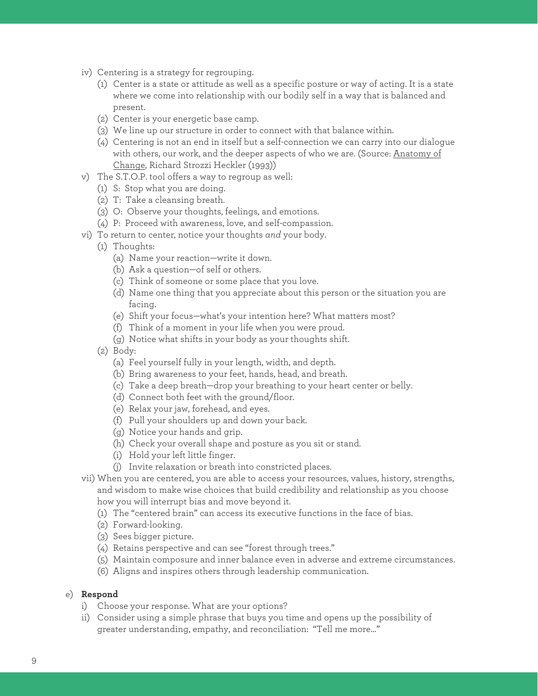- iv) Centering is a strategy for regrouping.
	- (1) Center is a state or attitude as well as a specific posture or way of acting. It is a state where we come into relationship with our bodily self in a way that is balanced and present.
	- (2) Center is your energetic base camp.
	- (3) We line up our structure in order to connect with that balance within.
	- (4) Centering is not an end in itself but a self-connection we can carry into our dialogue with others, our work, and the deeper aspects of who we are. (Source: Anatomy of Change, Richard Strozzi Heckler (1993))
- v) The S.T.O.P. tool offers a way to regroup as well:
	- (1) S: Stop what you are doing.
	- (2) T: Take a cleansing breath.
	- (3) O: Observe your thoughts, feelings, and emotions.
	- (4) P: Proceed with awareness, love, and self-compassion.
- vi) To return to center, notice your thoughts *and* your body.
	- (1) Thoughts:
		- (a) Name your reaction—write it down.
		- (b) Ask a question—of self or others.
		- (c) Think of someone or some place that you love.
		- (d) Name one thing that you appreciate about this person or the situation you are facing.
		- (e) Shift your focus—what's your intention here? What matters most?
		- (f) Think of a moment in your life when you were proud.
		- (g) Notice what shifts in your body as your thoughts shift.
	- (2) Body:
		- (a) Feel yourself fully in your length, width, and depth.
		- (b) Bring awareness to your feet, hands, head, and breath.
		- (c) Take a deep breath—drop your breathing to your heart center or belly.
		- (d) Connect both feet with the ground/floor.
		- (e) Relax your jaw, forehead, and eyes.
		- (f) Pull your shoulders up and down your back.
		- (g) Notice your hands and grip.
		- (h) Check your overall shape and posture as you sit or stand.
		- (i) Hold your left little finger.
		- (j) Invite relaxation or breath into constricted places.
- vii) When you are centered, you are able to access your resources, values, history, strengths, and wisdom to make wise choices that build credibility and relationship as you choose how you will interrupt bias and move beyond it.
	- (1) The "centered brain" can access its executive functions in the face of bias.
	- (2) Forward-looking.
	- (3) Sees bigger picture.
	- (4) Retains perspective and can see "forest through trees."
	- (5) Maintain composure and inner balance even in adverse and extreme circumstances.
	- (6) Aligns and inspires others through leadership communication.

#### e) **Respond**

- i) Choose your response. What are your options?
- ii) Consider using a simple phrase that buys you time and opens up the possibility of greater understanding, empathy, and reconciliation: "Tell me more…"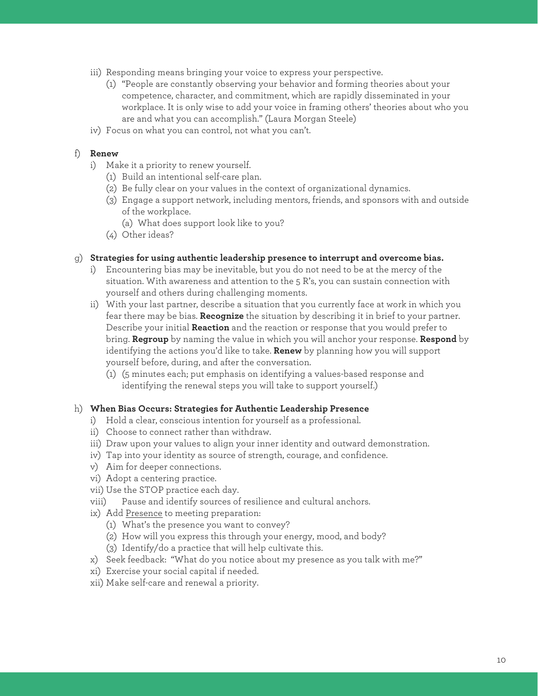- iii) Responding means bringing your voice to express your perspective.
	- (1) "People are constantly observing your behavior and forming theories about your competence, character, and commitment, which are rapidly disseminated in your workplace. It is only wise to add your voice in framing others' theories about who you are and what you can accomplish." (Laura Morgan Steele)
- iv) Focus on what you can control, not what you can't.

#### f) **Renew**

- i) Make it a priority to renew yourself.
	- (1) Build an intentional self-care plan.
	- (2) Be fully clear on your values in the context of organizational dynamics.
	- (3) Engage a support network, including mentors, friends, and sponsors with and outside of the workplace.
		- (a) What does support look like to you?
	- (4) Other ideas?

#### g) **Strategies for using authentic leadership presence to interrupt and overcome bias.**

- i) Encountering bias may be inevitable, but you do not need to be at the mercy of the situation. With awareness and attention to the 5 R's, you can sustain connection with yourself and others during challenging moments.
- ii) With your last partner, describe a situation that you currently face at work in which you fear there may be bias. **Recognize** the situation by describing it in brief to your partner. Describe your initial **Reaction** and the reaction or response that you would prefer to bring. **Regroup** by naming the value in which you will anchor your response. **Respond** by identifying the actions you'd like to take. **Renew** by planning how you will support yourself before, during, and after the conversation.
	- (1) (5 minutes each; put emphasis on identifying a values-based response and identifying the renewal steps you will take to support yourself.)

#### h) **When Bias Occurs: Strategies for Authentic Leadership Presence**

- i) Hold a clear, conscious intention for yourself as a professional.
- ii) Choose to connect rather than withdraw.
- iii) Draw upon your values to align your inner identity and outward demonstration.
- iv) Tap into your identity as source of strength, courage, and confidence.
- v) Aim for deeper connections.
- vi) Adopt a centering practice.
- vii) Use the STOP practice each day.
- viii) Pause and identify sources of resilience and cultural anchors.
- ix) Add Presence to meeting preparation:
	- (1) What's the presence you want to convey?
	- (2) How will you express this through your energy, mood, and body?
	- (3) Identify/do a practice that will help cultivate this.
- x) Seek feedback: "What do you notice about my presence as you talk with me?"
- xi) Exercise your social capital if needed.
- xii) Make self-care and renewal a priority.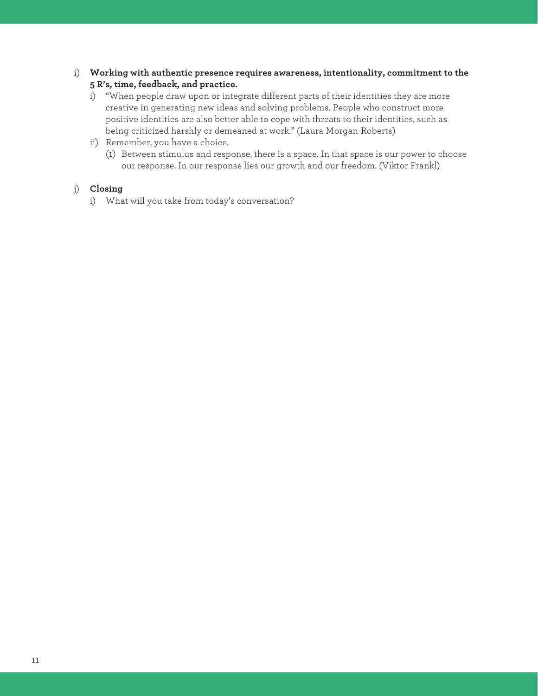- i) **Working with authentic presence requires awareness, intentionality, commitment to the 5 R's, time, feedback, and practice.**
	- i) "When people draw upon or integrate different parts of their identities they are more creative in generating new ideas and solving problems. People who construct more positive identities are also better able to cope with threats to their identities, such as being criticized harshly or demeaned at work." (Laura Morgan-Roberts)
	- ii) Remember, you have a choice.
		- (1) Between stimulus and response, there is a space. In that space is our power to choose our response. In our response lies our growth and our freedom. (Viktor Frankl)

#### j) **Closing**

i) What will you take from today's conversation?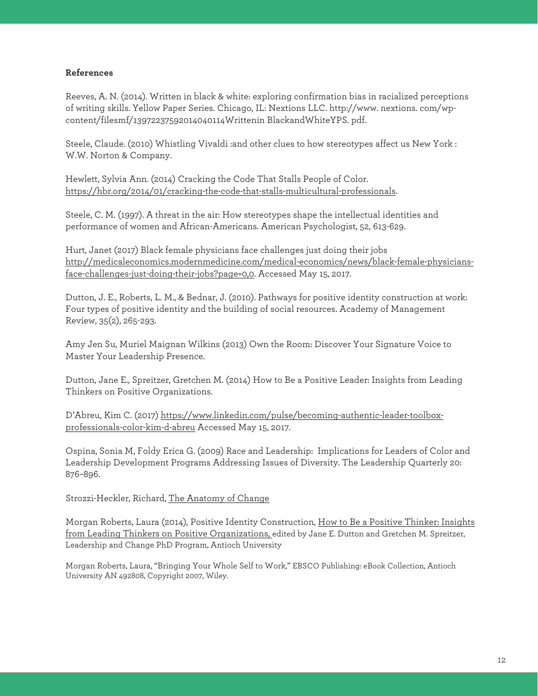#### **References**

Reeves, A. N. (2014). Written in black & white: exploring confirmation bias in racialized perceptions of writing skills. Yellow Paper Series. Chicago, IL: Nextions LLC. http://www. nextions. com/wpcontent/filesmf/13972237592014040114Writtenin BlackandWhiteYPS. pdf.

Steele, Claude. (2010) Whistling Vivaldi :and other clues to how stereotypes affect us New York : W.W. Norton & Company.

Hewlett, Sylvia Ann. (2014) Cracking the Code That Stalls People of Color. https://hbr.org/2014/01/cracking-the-code-that-stalls-multicultural-professionals.

Steele, C. M. (1997). A threat in the air: How stereotypes shape the intellectual identities and performance of women and African-Americans. American Psychologist, 52, 613-629.

Hurt, Janet (2017) Black female physicians face challenges just doing their jobs http://medicaleconomics.modernmedicine.com/medical-economics/news/black-female-physiciansface-challenges-just-doing-their-jobs?page=0,0. Accessed May 15, 2017.

Dutton, J. E., Roberts, L. M., & Bednar, J. (2010). Pathways for positive identity construction at work: Four types of positive identity and the building of social resources. Academy of Management Review, 35(2), 265-293.

Amy Jen Su, Muriel Maignan Wilkins (2013) Own the Room: Discover Your Signature Voice to Master Your Leadership Presence.

Dutton, Jane E., Spreitzer, Gretchen M. (2014) How to Be a Positive Leader: Insights from Leading Thinkers on Positive Organizations.

D'Abreu, Kim C. (2017) https://www.linkedin.com/pulse/becoming-authentic-leader-toolboxprofessionals-color-kim-d-abreu Accessed May 15, 2017.

Ospina, Sonia M, Foldy Erica G. (2009) Race and Leadership: Implications for Leaders of Color and Leadership Development Programs Addressing Issues of Diversity. The Leadership Quarterly 20: 876–896.

Strozzi-Heckler, Richard, The Anatomy of Change

Morgan Roberts, Laura (2014), Positive Identity Construction, How to Be a Positive Thinker: Insights from Leading Thinkers on Positive Organizations, edited by Jane E. Dutton and Gretchen M. Spreitzer, Leadership and Change PhD Program, Antioch University

Morgan Roberts, Laura, "Bringing Your Whole Self to Work," EBSCO Publishing: eBook Collection, Antioch University AN 492808, Copyright 2007, Wiley.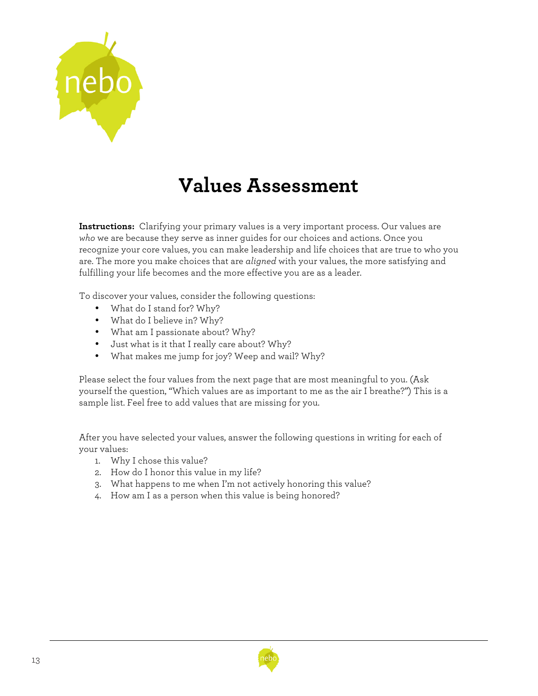

# **Values Assessment**

**Instructions:** Clarifying your primary values is a very important process. Our values are *who* we are because they serve as inner guides for our choices and actions. Once you recognize your core values, you can make leadership and life choices that are true to who you are. The more you make choices that are *aligned* with your values, the more satisfying and fulfilling your life becomes and the more effective you are as a leader.

To discover your values, consider the following questions:

- What do I stand for? Why?
- What do I believe in? Why?
- What am I passionate about? Why?
- Just what is it that I really care about? Why?
- What makes me jump for joy? Weep and wail? Why?

Please select the four values from the next page that are most meaningful to you. (Ask yourself the question, "Which values are as important to me as the air I breathe?") This is a sample list. Feel free to add values that are missing for you.

After you have selected your values, answer the following questions in writing for each of your values:

- 1. Why I chose this value?
- 2. How do I honor this value in my life?
- 3. What happens to me when I'm not actively honoring this value?
- 4. How am I as a person when this value is being honored?

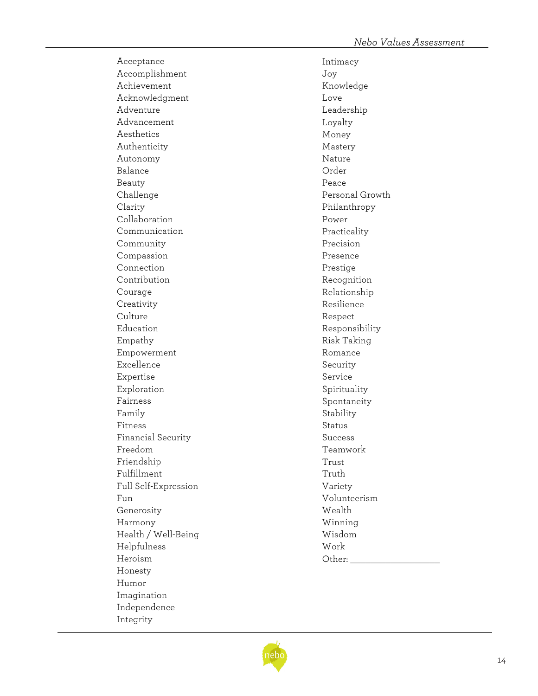Acceptance Accomplishment Achievement Acknowledgment Adventure Advancement Aesthetics Authenticity Autonomy Balance Beauty Challenge Clarity Collaboration Communication Community Compassion Connection Contribution Courage **Creativity** Culture Education Empathy Empowerment Excellence Expertise Exploration Fairness Family Fitness Financial Security Freedom Friendship Fulfillment Full Self -Expression Fun Generosity Harmony Health / Well -Being Helpfulness Heroism Honesty Humor Imagination Independence Integrity

Intimacy Joy Knowledge Love Leadership Loyalty Money Mastery Nature Order Peace Personal Growth Philanthropy Power Practicality Precision Presence Prestige Recognition Relationship Resilience Respect Responsibility Risk Taking Romance Security Service Spirituality Spontaneity Stability Status Success Teamwork Trust Truth Variety Volunteerism Wealth Winning Wisdom Work Other:  $\_\_$ 

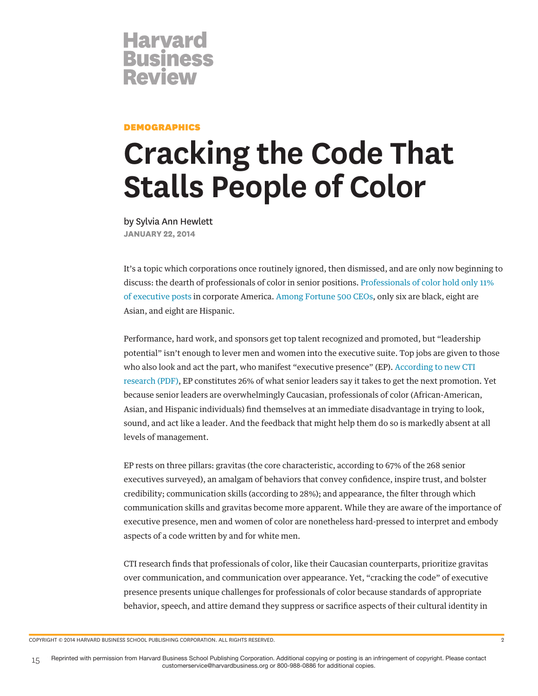

#### **DEMOGRAPHICS**

# **Cracking the Code That Stalls People of Color**

by Sylvia Ann Hewlett **JANUARY 22, 2014**

It's a topic which corporations once routinely ignored, then dismissed, and are only now beginning to discuss: the dearth of professionals of color in senior positions. Professionals of color hold only 11% of executive posts in corporate America. Among Fortune 500 CEOs, only six are black, eight are Asian, and eight are Hispanic.

Performance, hard work, and sponsors get top talent recognized and promoted, but "leadership potential" isn't enough to lever men and women into the executive suite. Top jobs are given to those who also look and act the part, who manifest "executive presence" (EP). According to new CTI research (PDF), EP constitutes 26% of what senior leaders say it takes to get the next promotion. Yet because senior leaders are overwhelmingly Caucasian, professionals of color (African-American, Asian, and Hispanic individuals) find themselves at an immediate disadvantage in trying to look, sound, and act like a leader. And the feedback that might help them do so is markedly absent at all levels of management.

EP rests on three pillars: gravitas (the core characteristic, according to 67% of the 268 senior executives surveyed), an amalgam of behaviors that convey confidence, inspire trust, and bolster credibility; communication skills (according to 28%); and appearance, the filter through which communication skills and gravitas become more apparent. While they are aware of the importance of executive presence, men and women of color are nonetheless hard-pressed to interpret and embody aspects of a code written by and for white men.

CTI research finds that professionals of color, like their Caucasian counterparts, prioritize gravitas over communication, and communication over appearance. Yet, "cracking the code" of executive presence presents unique challenges for professionals of color because standards of appropriate behavior, speech, and attire demand they suppress or sacrifice aspects of their cultural identity in

COPYRIGHT © 2014 HARVARD BUSINESS SCHOOL PUBLISHING CORPORATION. ALL RIGHTS RESERVED. 2

15 Reprinted with permission from Harvard Business School Publishing Corporation. Additional copying or posting is an infringement of copyright. Please contact customerservice@harvardbusiness.org or 800-988-0886 for additional copies. customerservice@harvardbusiness.org or 800-988-0886 for additional copies.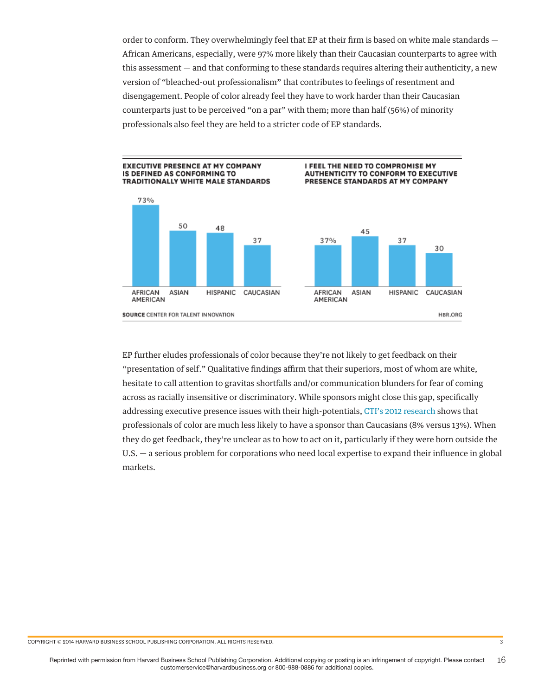order to conform. They overwhelmingly feel that EP at their firm is based on white male standards — African Americans, especially, were 97% more likely than their Caucasian counterparts to agree with this assessment — and that conforming to these standards requires altering their authenticity, a new version of "bleached-out professionalism" that contributes to feelings of resentment and disengagement. People of color already feel they have to work harder than their Caucasian counterparts just to be perceived "on a par" with them; more than half (56%) of minority professionals also feel they are held to a stricter code of EP standards.



EP further eludes professionals of color because they're not likely to get feedback on their "presentation of self." Qualitative findings affirm that their superiors, most of whom are white, hesitate to call attention to gravitas shortfalls and/or communication blunders for fear of coming across as racially insensitive or discriminatory. While sponsors might close this gap, specifically addressing executive presence issues with their high-potentials, CTI's 2012 research shows that professionals of color are much less likely to have a sponsor than Caucasians (8% versus 13%). When they do get feedback, they're unclear as to how to act on it, particularly if they were born outside the U.S. — a serious problem for corporations who need local expertise to expand their influence in global markets.

COPYRIGHT © 2014 HARVARD BUSINESS SCHOOL PUBLISHING CORPORATION. ALL RIGHTS RESERVED. 3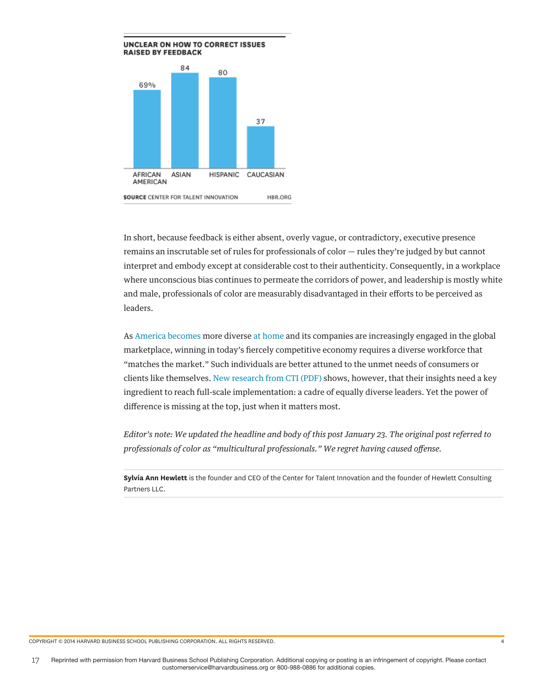

In short, because feedback is either absent, overly vague, or contradictory, executive presence remains an inscrutable set of rules for professionals of color — rules they're judged by but cannot interpret and embody except at considerable cost to their authenticity. Consequently, in a workplace where unconscious bias continues to permeate the corridors of power, and leadership is mostly white and male, professionals of color are measurably disadvantaged in their efforts to be perceived as leaders.

As America becomes more diverse at home and its companies are increasingly engaged in the global marketplace, winning in today's fiercely competitive economy requires a diverse workforce that "matches the market." Such individuals are better attuned to the unmet needs of consumers or clients like themselves. New research from CTI (PDF) shows, however, that their insights need a key ingredient to reach full-scale implementation: a cadre of equally diverse leaders. Yet the power of difference is missing at the top, just when it matters most.

*Editor's note: We updated the headline and body of this post January 23. The original post referred to professionals of color as "multicultural professionals." We regret having caused offense.*

**Sylvia Ann Hewlett** is the founder and CEO of the Center for Talent Innovation and the founder of Hewlett Consulting Partners LLC.

COPYRIGHT © 2014 HARVARD BUSINESS SCHOOL PUBLISHING CORPORATION. ALL RIGHTS RESERVED. 4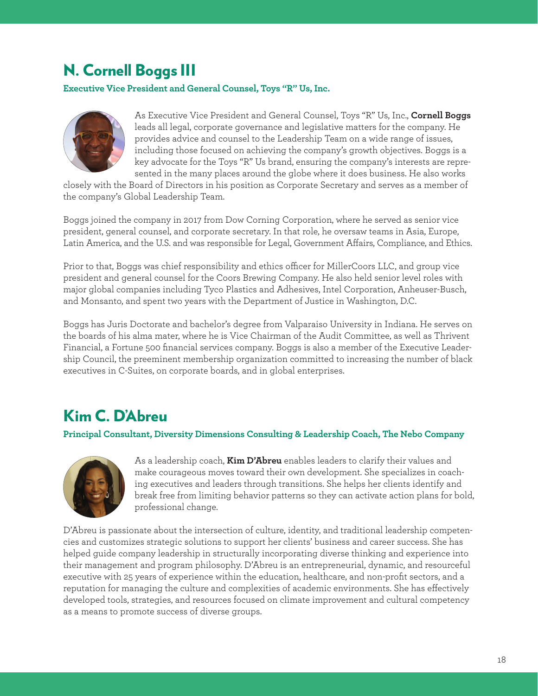### N. Cornell Boggs III

**Executive Vice President and General Counsel, Toys "R" Us, Inc.**



As Executive Vice President and General Counsel, Toys "R" Us, Inc., **Cornell Boggs** leads all legal, corporate governance and legislative matters for the company. He provides advice and counsel to the Leadership Team on a wide range of issues, including those focused on achieving the company's growth objectives. Boggs is a key advocate for the Toys "R" Us brand, ensuring the company's interests are represented in the many places around the globe where it does business. He also works

closely with the Board of Directors in his position as Corporate Secretary and serves as a member of the company's Global Leadership Team.

Boggs joined the company in 2017 from Dow Corning Corporation, where he served as senior vice president, general counsel, and corporate secretary. In that role, he oversaw teams in Asia, Europe, Latin America, and the U.S. and was responsible for Legal, Government Affairs, Compliance, and Ethics.

Prior to that, Boggs was chief responsibility and ethics officer for MillerCoors LLC, and group vice president and general counsel for the Coors Brewing Company. He also held senior level roles with major global companies including Tyco Plastics and Adhesives, Intel Corporation, Anheuser-Busch, and Monsanto, and spent two years with the Department of Justice in Washington, D.C.

Boggs has Juris Doctorate and bachelor's degree from Valparaiso University in Indiana. He serves on the boards of his alma mater, where he is Vice Chairman of the Audit Committee, as well as Thrivent Financial, a Fortune 500 financial services company. Boggs is also a member of the Executive Leadership Council, the preeminent membership organization committed to increasing the number of black executives in C-Suites, on corporate boards, and in global enterprises.

### Kim C. D'Abreu

**Principal Consultant, Diversity Dimensions Consulting & Leadership Coach, The Nebo Company**



As a leadership coach, **Kim D'Abreu** enables leaders to clarify their values and make courageous moves toward their own development. She specializes in coaching executives and leaders through transitions. She helps her clients identify and break free from limiting behavior patterns so they can activate action plans for bold, professional change.

D'Abreu is passionate about the intersection of culture, identity, and traditional leadership competencies and customizes strategic solutions to support her clients' business and career success. She has helped guide company leadership in structurally incorporating diverse thinking and experience into their management and program philosophy. D'Abreu is an entrepreneurial, dynamic, and resourceful executive with 25 years of experience within the education, healthcare, and non-profit sectors, and a reputation for managing the culture and complexities of academic environments. She has effectively developed tools, strategies, and resources focused on climate improvement and cultural competency as a means to promote success of diverse groups.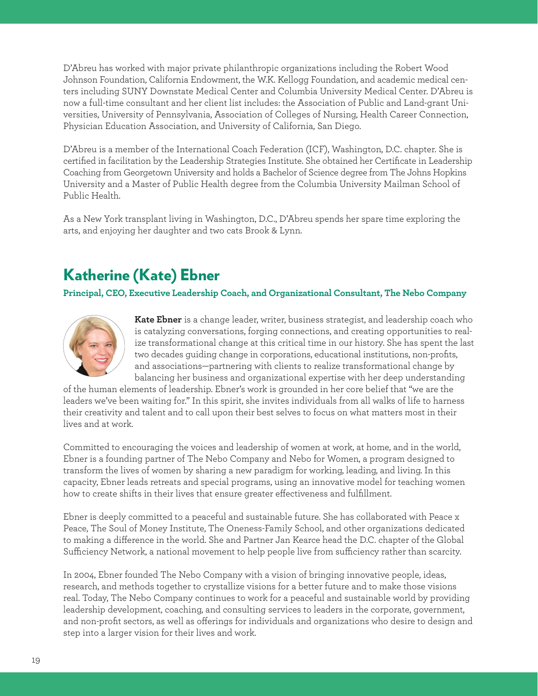D'Abreu has worked with major private philanthropic organizations including the Robert Wood Johnson Foundation, California Endowment, the W.K. Kellogg Foundation, and academic medical centers including SUNY Downstate Medical Center and Columbia University Medical Center. D'Abreu is now a full-time consultant and her client list includes: the Association of Public and Land-grant Universities, University of Pennsylvania, Association of Colleges of Nursing, Health Career Connection, Physician Education Association, and University of California, San Diego.

D'Abreu is a member of the International Coach Federation (ICF), Washington, D.C. chapter. She is certified in facilitation by the Leadership Strategies Institute. She obtained her Certificate in Leadership Coaching from Georgetown University and holds a Bachelor of Science degree from The Johns Hopkins University and a Master of Public Health degree from the Columbia University Mailman School of Public Health.

As a New York transplant living in Washington, D.C., D'Abreu spends her spare time exploring the arts, and enjoying her daughter and two cats Brook & Lynn.

### Katherine (Kate) Ebner

**Principal, CEO, Executive Leadership Coach, and Organizational Consultant, The Nebo Company**



**Kate Ebner** is a change leader, writer, business strategist, and leadership coach who is catalyzing conversations, forging connections, and creating opportunities to realize transformational change at this critical time in our history. She has spent the last two decades guiding change in corporations, educational institutions, non-profits, and associations—partnering with clients to realize transformational change by balancing her business and organizational expertise with her deep understanding

of the human elements of leadership. Ebner's work is grounded in her core belief that "we are the leaders we've been waiting for." In this spirit, she invites individuals from all walks of life to harness their creativity and talent and to call upon their best selves to focus on what matters most in their lives and at work.

Committed to encouraging the voices and leadership of women at work, at home, and in the world, Ebner is a founding partner of The Nebo Company and Nebo for Women, a program designed to transform the lives of women by sharing a new paradigm for working, leading, and living. In this capacity, Ebner leads retreats and special programs, using an innovative model for teaching women how to create shifts in their lives that ensure greater effectiveness and fulfillment.

Ebner is deeply committed to a peaceful and sustainable future. She has collaborated with Peace x Peace, The Soul of Money Institute, The Oneness-Family School, and other organizations dedicated to making a difference in the world. She and Partner Jan Kearce head the D.C. chapter of the Global Sufficiency Network, a national movement to help people live from sufficiency rather than scarcity.

In 2004, Ebner founded The Nebo Company with a vision of bringing innovative people, ideas, research, and methods together to crystallize visions for a better future and to make those visions real. Today, The Nebo Company continues to work for a peaceful and sustainable world by providing leadership development, coaching, and consulting services to leaders in the corporate, government, and non-profit sectors, as well as offerings for individuals and organizations who desire to design and step into a larger vision for their lives and work.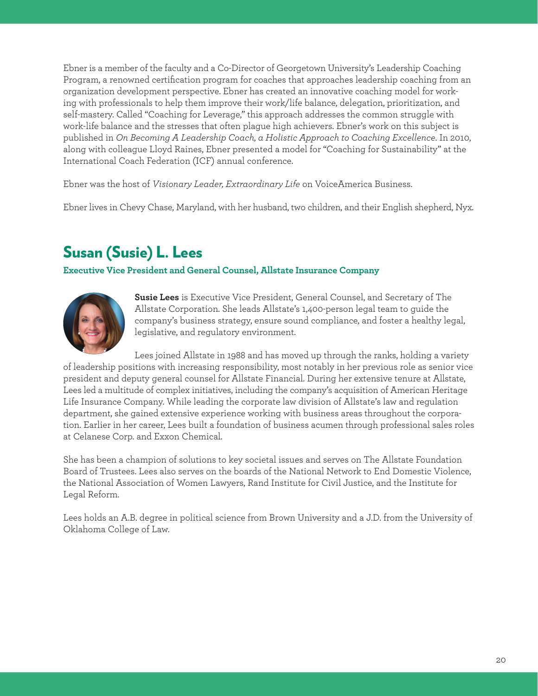Ebner is a member of the faculty and a Co-Director of Georgetown University's Leadership Coaching Program, a renowned certification program for coaches that approaches leadership coaching from an organization development perspective. Ebner has created an innovative coaching model for working with professionals to help them improve their work/life balance, delegation, prioritization, and self-mastery. Called "Coaching for Leverage," this approach addresses the common struggle with work-life balance and the stresses that often plague high achievers. Ebner's work on this subject is published in *On Becoming A Leadership Coach, a Holistic Approach to Coaching Excellence*. In 2010, along with colleague Lloyd Raines, Ebner presented a model for "Coaching for Sustainability" at the International Coach Federation (ICF) annual conference.

Ebner was the host of *Visionary Leader, Extraordinary Life* on VoiceAmerica Business.

Ebner lives in Chevy Chase, Maryland, with her husband, two children, and their English shepherd, Nyx.

### Susan (Susie) L. Lees

#### **Executive Vice President and General Counsel, Allstate Insurance Company**



**Susie Lees** is Executive Vice President, General Counsel, and Secretary of The Allstate Corporation. She leads Allstate's 1,400-person legal team to guide the company's business strategy, ensure sound compliance, and foster a healthy legal, legislative, and regulatory environment.

Lees joined Allstate in 1988 and has moved up through the ranks, holding a variety of leadership positions with increasing responsibility, most notably in her previous role as senior vice president and deputy general counsel for Allstate Financial. During her extensive tenure at Allstate, Lees led a multitude of complex initiatives, including the company's acquisition of American Heritage Life Insurance Company. While leading the corporate law division of Allstate's law and regulation department, she gained extensive experience working with business areas throughout the corporation. Earlier in her career, Lees built a foundation of business acumen through professional sales roles at Celanese Corp. and Exxon Chemical.

She has been a champion of solutions to key societal issues and serves on The Allstate Foundation Board of Trustees. Lees also serves on the boards of the National Network to End Domestic Violence, the National Association of Women Lawyers, Rand Institute for Civil Justice, and the Institute for Legal Reform.

Lees holds an A.B. degree in political science from Brown University and a J.D. from the University of Oklahoma College of Law.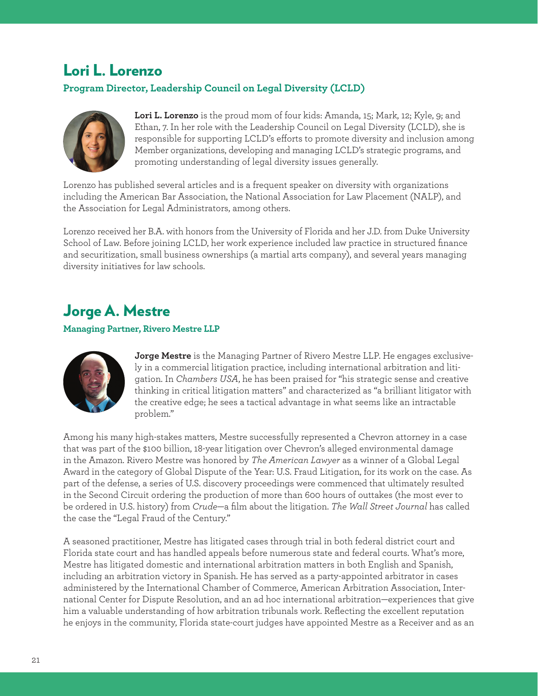### Lori L. Lorenzo

#### **Program Director, Leadership Council on Legal Diversity (LCLD)**



**Lori L. Lorenzo** is the proud mom of four kids: Amanda, 15; Mark, 12; Kyle, 9; and Ethan, 7. In her role with the Leadership Council on Legal Diversity (LCLD), she is responsible for supporting LCLD's efforts to promote diversity and inclusion among Member organizations, developing and managing LCLD's strategic programs, and promoting understanding of legal diversity issues generally.

Lorenzo has published several articles and is a frequent speaker on diversity with organizations including the American Bar Association, the National Association for Law Placement (NALP), and the Association for Legal Administrators, among others.

Lorenzo received her B.A. with honors from the University of Florida and her J.D. from Duke University School of Law. Before joining LCLD, her work experience included law practice in structured finance and securitization, small business ownerships (a martial arts company), and several years managing diversity initiatives for law schools.

### Jorge A. Mestre

#### **Managing Partner, Rivero Mestre LLP**



**Jorge Mestre** is the Managing Partner of Rivero Mestre LLP. He engages exclusively in a commercial litigation practice, including international arbitration and litigation. In *Chambers USA*, he has been praised for "his strategic sense and creative thinking in critical litigation matters" and characterized as "a brilliant litigator with the creative edge; he sees a tactical advantage in what seems like an intractable problem."

Among his many high-stakes matters, Mestre successfully represented a Chevron attorney in a case that was part of the \$100 billion, 18-year litigation over Chevron's alleged environmental damage in the Amazon. Rivero Mestre was honored by *The American Lawyer* as a winner of a Global Legal Award in the category of Global Dispute of the Year: U.S. Fraud Litigation, for its work on the case. As part of the defense, a series of U.S. discovery proceedings were commenced that ultimately resulted in the Second Circuit ordering the production of more than 600 hours of outtakes (the most ever to be ordered in U.S. history) from *Crude*—a film about the litigation. *The Wall Street Journal* has called the case the "Legal Fraud of the Century."

A seasoned practitioner, Mestre has litigated cases through trial in both federal district court and Florida state court and has handled appeals before numerous state and federal courts. What's more, Mestre has litigated domestic and international arbitration matters in both English and Spanish, including an arbitration victory in Spanish. He has served as a party-appointed arbitrator in cases administered by the International Chamber of Commerce, American Arbitration Association, International Center for Dispute Resolution, and an ad hoc international arbitration—experiences that give him a valuable understanding of how arbitration tribunals work. Reflecting the excellent reputation he enjoys in the community, Florida state-court judges have appointed Mestre as a Receiver and as an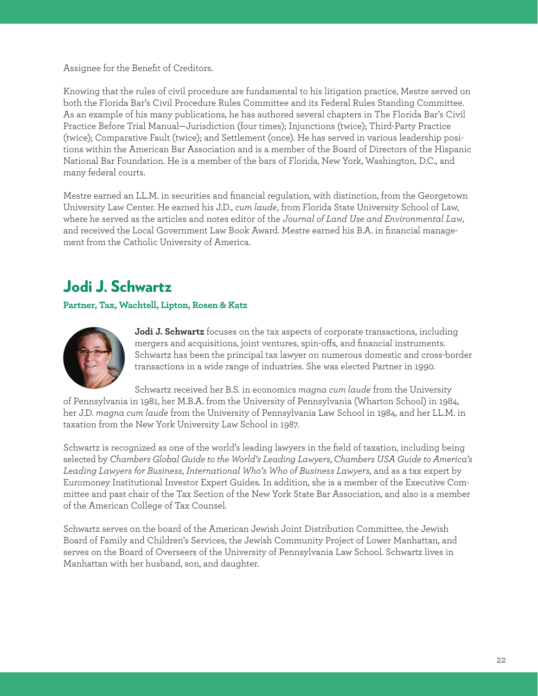#### Assignee for the Benefit of Creditors.

Knowing that the rules of civil procedure are fundamental to his litigation practice, Mestre served on both the Florida Bar's Civil Procedure Rules Committee and its Federal Rules Standing Committee. As an example of his many publications, he has authored several chapters in The Florida Bar's Civil Practice Before Trial Manual—Jurisdiction (four times); Injunctions (twice); Third-Party Practice (twice); Comparative Fault (twice); and Settlement (once). He has served in various leadership positions within the American Bar Association and is a member of the Board of Directors of the Hispanic National Bar Foundation. He is a member of the bars of Florida, New York, Washington, D.C., and many federal courts.

Mestre earned an LL.M. in securities and financial regulation, with distinction, from the Georgetown University Law Center. He earned his J.D., *cum laude*, from Florida State University School of Law, where he served as the articles and notes editor of the *Journal of Land Use and Environmental Law*, and received the Local Government Law Book Award. Mestre earned his B.A. in financial management from the Catholic University of America.

### Jodi J. Schwartz

#### **Partner, Tax, Wachtell, Lipton, Rosen & Katz**



**Jodi J. Schwartz** focuses on the tax aspects of corporate transactions, including mergers and acquisitions, joint ventures, spin-offs, and financial instruments. Schwartz has been the principal tax lawyer on numerous domestic and cross-border transactions in a wide range of industries. She was elected Partner in 1990.

Schwartz received her B.S. in economics *magna cum laude* from the University of Pennsylvania in 1981, her M.B.A. from the University of Pennsylvania (Wharton School) in 1984, her J.D. *magna cum laude* from the University of Pennsylvania Law School in 1984, and her LL.M. in

taxation from the New York University Law School in 1987.

Schwartz is recognized as one of the world's leading lawyers in the field of taxation, including being selected by *Chambers Global Guide to the World's Leading Lawyers*, *Chambers USA Guide to America's Leading Lawyers for Business*, *International Who's Who of Business Lawyers,* and as a tax expert by Euromoney Institutional Investor Expert Guides. In addition, she is a member of the Executive Committee and past chair of the Tax Section of the New York State Bar Association, and also is a member of the American College of Tax Counsel.

Schwartz serves on the board of the American Jewish Joint Distribution Committee, the Jewish Board of Family and Children's Services, the Jewish Community Project of Lower Manhattan, and serves on the Board of Overseers of the University of Pennsylvania Law School. Schwartz lives in Manhattan with her husband, son, and daughter.